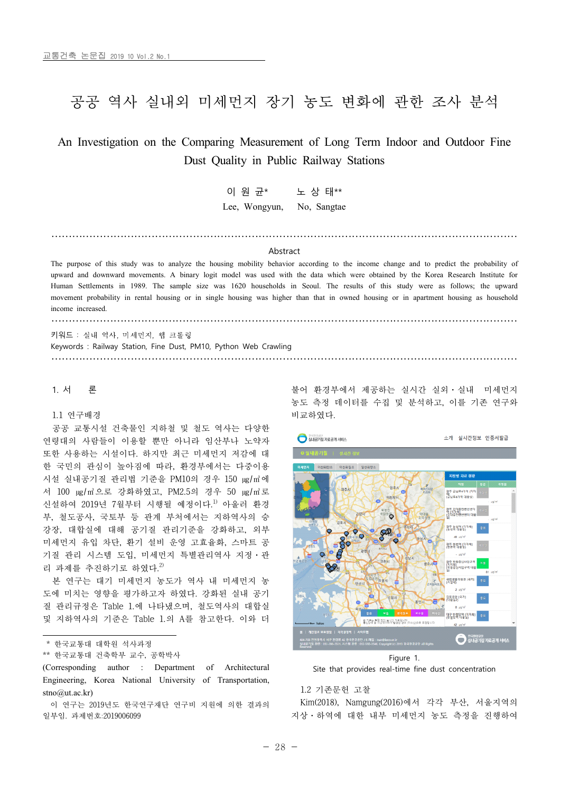# 공공 역사 실내외 미세먼지 장기 농도 변화에 관한 조사 분석

An Investigation on the Comparing Measurement of Long Term Indoor and Outdoor Fine Dust Quality in Public Railway Stations

> 이 원 균\* 노 상 태\*\* Lee, Wongyun, No, Sangtae

………………………………………………………………………………………………………………………

## Abstract

The purpose of this study was to analyze the housing mobility behavior according to the income change and to predict the probability of upward and downward movements. A binary logit model was used with the data which were obtained by the Korea Research Institute for Human Settlements in 1989. The sample size was 1620 households in Seoul. The results of this study were as follows; the upward movement probability in rental housing or in single housing was higher than that in owned housing or in apartment housing as household income increased.

키워드 : 실내 역사, 미세먼지, 웹 크롤링

Keywords : Railway Station, Fine Dust, PM10, Python Web Crawling ………………………………………………………………………………………………………………………

………………………………………………………………………………………………………………………

1. 서 론\*

#### 1.1 연구배경

공공 교통시설 건축물인 지하철 및 철도 역사는 다양한 연령대의 사람들이 이용할 뿐만 아니라 임산부나 노약자 또한 사용하는 시설이다. 하지만 최근 미세먼지 저감에 대 한 국민의 관심이 높아짐에 따라, 환경부에서는 다중이용 시설 실내공기질 관리법 기준을 PM10의 경우 150 ㎍/㎥에 서 100 ㎍/㎥으로 강화하였고, PM2.5의 경우 50 ㎍/㎥로 신설하여 2019년 7월부터 시행될 예정이다.<sup>1)</sup> 아울러 환경 부, 철도공사, 국토부 등 관계 부처에서는 지하역사의 승 강장, 대합실에 대해 공기질 관리기준을 강화하고, 외부 미세먼지 유입 차단, 환기 설비 운영 고효율화, 스마트 공 기질 관리 시스템 도입, 미세먼지 특별관리역사 지정·관 리 과제를 추진하기로 하였다. $^{2)}$ 

본 연구는 대기 미세먼지 농도가 역사 내 미세먼지 농 도에 미치는 영향을 평가하고자 하였다. 강화된 실내 공기 질 관리규정은 Table 1.에 나타냈으며, 철도역사의 대합실 및 지하역사의 기준은 Table 1.의 A를 참고한다. 이와 더

\* 한국교통대 대학원 석사과정

\*\* 한국교통대 건축학부 교수, 공학박사

(Corresponding author : Department of Architectural Engineering, Korea National University of Transportation, stno@ut.ac.kr)

 이 연구는 2019년도 한국연구재단 연구비 지원에 의한 결과의 일부임. 과제번호:2019006099

불어 환경부에서 제공하는 실시간 실외·실내 미세먼지 농도 측정 데이터를 수집 및 분석하고, 이를 기존 연구와 비교하였다.





1.2 기존문헌 고찰

Kim(2018), Namgung(2016)에서 각각 부산, 서울지역의 지상·하역에 대한 내부 미세먼지 농도 측정을 진행하여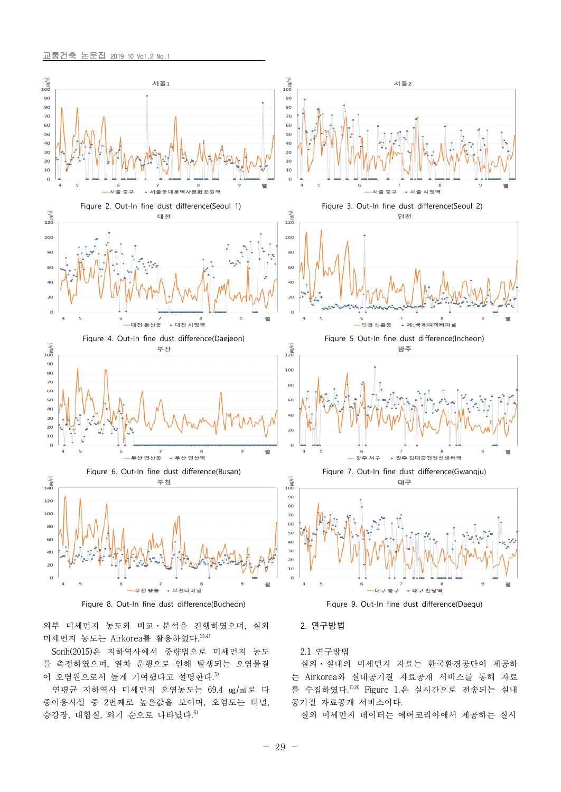

미세먼지 농도는 Airkorea를 활용하였다.  $3,4$ Sonh(2015)은 지하역사에서 중량법으로 미세먼지 농도

를 측정하였으며, 열차 운행으로 인해 발생되는 오염물질 이 오염원으로서 높게 기여했다고 설명한다. $5$ 

연평균 지하역사 미세먼지 오염농도는 69.4 ㎍/㎥로 다 중이용시설 중 2번째로 높은값을 보이며, 오염도는 터널,<br>승강장, 대합실, 외기 순으로 나타났다.<sup>6)</sup>

# 2.1 연구방법

실외·실내의 미세먼지 자료는 한국환경공단이 제공하 는 Airkorea와 실내공기질 자료공개 서비스를 통해 자료 를 수집하였다.7),8) Figure 1.은 실시간으로 전송되는 실내 공기질 자료공개 서비스이다.

실외 미세먼지 데이터는 에어코리아에서 제공하는 실시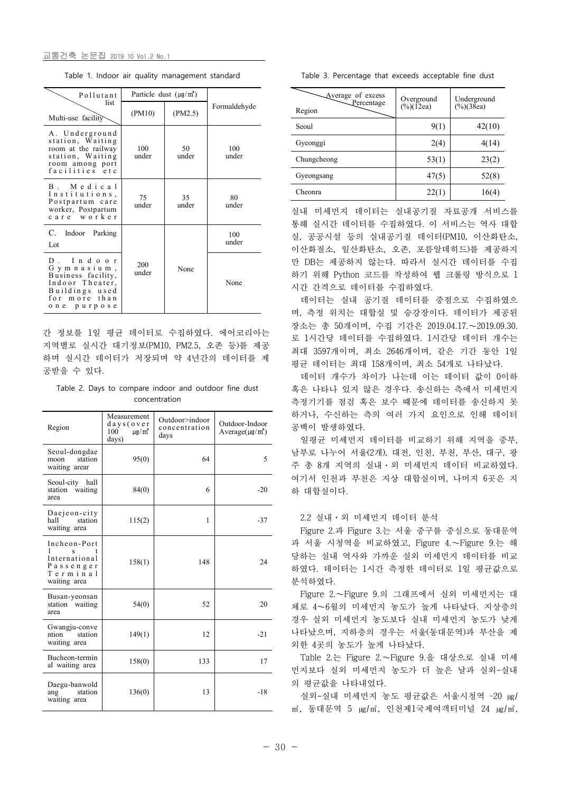| (PM10)       | (PM2.5)     | Formaldehyde                                                                                                         |  |
|--------------|-------------|----------------------------------------------------------------------------------------------------------------------|--|
| 100<br>under | 50<br>under | 100<br>under                                                                                                         |  |
| 75<br>under  | 35<br>under | 80<br>under                                                                                                          |  |
|              |             | 100<br>under                                                                                                         |  |
| 200<br>under | None        | None                                                                                                                 |  |
|              |             | <u>교통건축 논문집 2019 10 Vol.2 No.1</u><br>Table 1. Indoor air quality management standard<br>Particle dust $(\mu g/m^3)$ |  |

Table 1. Indoor air quality management standard

간 정보를 1일 평균 데이터로 수집하였다. 에어코리아는 지역별로 실시간 대기정보(PM10, PM2.5, 오존 등)를 제공 하며 실시간 데이터가 저장되며 약 4년간의 데이터를 제 공받을 수 있다.

concentration

| Table 2. Days to compare indoor and outdoor fine dust<br>concentration                |                                                                     |                                         |                                               |  |
|---------------------------------------------------------------------------------------|---------------------------------------------------------------------|-----------------------------------------|-----------------------------------------------|--|
| Region                                                                                | Measurement<br>days (over<br>100<br>$\mu$ g/m <sup>3</sup><br>days) | Outdoor>indoor<br>concentration<br>days | Outdoor-Indoor<br>Average(µg/m <sup>3</sup> ) |  |
| Seoul-dongdae<br>moon<br>station<br>waiting arear                                     | 95(0)                                                               | 64                                      | 5                                             |  |
| Seoul-city hall<br>station waiting<br>area                                            | 84(0)                                                               | 6                                       | $-20$                                         |  |
| Daejeon-city<br>hall<br>station<br>waiting area                                       | 115(2)                                                              | $\mathbf{1}$                            | $-37$                                         |  |
| Incheon-Port<br>1<br>s<br>t<br>International<br>Passenger<br>Terminal<br>waiting area | 158(1)                                                              | 148                                     | 24                                            |  |
| Busan-yeonsan<br>station waiting<br>area                                              | 54(0)                                                               | 52                                      | 20                                            |  |
| Gwangju-conve<br>ntion<br>station<br>waiting area                                     | 149(1)                                                              | 12                                      | $-21$                                         |  |
| Bucheon-termin<br>al waiting area                                                     | 158(0)                                                              | 133                                     | 17                                            |  |
| Daegu-banwold<br>station<br>ang<br>waiting area                                       | 136(0)                                                              | 13                                      | $-18$                                         |  |

|  |  |  | Table 3. Percentage that exceeds acceptable fine dust |  |  |  |  |  |  |
|--|--|--|-------------------------------------------------------|--|--|--|--|--|--|
|--|--|--|-------------------------------------------------------|--|--|--|--|--|--|

| Average of excess<br>Percentage<br>Region | Overground<br>$(\frac{9}{6})(12ea)$ | Underground<br>$(\%)(38ea)$ |
|-------------------------------------------|-------------------------------------|-----------------------------|
| Seoul                                     | 9(1)                                | 42(10)                      |
| Gyeonggi                                  | 2(4)                                | 4(14)                       |
| Chungcheong                               | 53(1)                               | 23(2)                       |
| Gyeongsang                                | 47(5)                               | 52(8)                       |
| Cheonra                                   | 22(1)                               | 16(4)                       |

실내 미세먼지 데이터는 실내공기질 자료공개 서비스를 통해 실시간 데이터를 수집하였다. 이 서비스는 역사 대합 실, 공공시설 등의 실내공기질 데이터(PM10, 이산화탄소,<br>이산화질소, 일산화탄소, 오존, 포름알데히드)를 제공하지 만 DB는 제공하지 않는다. 따라서 실시간 데이터를 수집 하기 위해 Python 코드를 작성하여 웹 크롤링 방식으로 1 시간 간격으로 데이터를 수집하였다.<br>- 데이터는 실내 공기질 데이터를 중점으로 수집하였으

며, 측정 위치는 대합실 및 승강장이다. 데이터가 제공된 장소는 총 50개이며, 수집 기간은 2019.04.17.∼2019.09.30. 로 1시간당 데이터를 수집하였다. 1시간당 데이터 개수는 최대 3597개이며, 최소 2646개이며, 같은 기간 동안 1일 평균 데이터는 최대 158개이며, 최소 54개로 나타났다.

데이터 개수가 차이가 나는데 이는 데이터 값이 0이하 혹은 나타나 있지 않은 경우다. 송신하는 측에서 미세먼지 측정기기를 점검 혹은 보수 때문에 데이터를 송신하지 못 하거나, 수신하는 측의 여러 가지 요인으로 인해 데이터

공백이 발생하였다.<br>- 일평균 미세먼지 데이터를 비교하기 위해 지역을 중부,<br>남부로 나누어 서울(2개), 대전, 인천, 부천, 부산, 대구, 광 주 총 8개 지역의 실내·외 미세먼지 데이터 비교하였다.<br>여기서 인천과 부천은 지상 대합실이며, 나머지 6곳은 지 하 대합실이다.

#### 2.2 실내·외 미세먼지 데이터 분석

Figure 2.과 Figure 3.는 서울 중구를 중심으로 동대문역 과 서울 시청역을 비교하였고, Figure 4.∼Figure 9.는 해 당하는 실내 역사와 가까운 실외 미세먼지 데이터를 비교 하였다. 데이터는 1시간 측정한 데이터로 1일 평균값으로 분석하였다.

Figure 2.∼Figure 9.의 그래프에서 실외 미세먼지는 대 체로 4∼6월의 미세먼지 농도가 높게 나타났다. 지상층의 경우 실외 미세먼지 농도보다 실내 미세먼지 농도가 낮게 나타났으며, 지하층의 경우는 서울(동대문역)과 부산을 제 외한 4곳의 농도가 높게 나타났다.

Table 2.는 Figure 2.∼Figure 9.을 대상으로 실내 미세 먼지보다 실외 미세먼지 농도가 더 높은 날과 실외-실내

의 평균값을 나타내었다.<br>- 실외-실내 미세먼지 농도 평균값은 서울시청역 −20 ㎏/  $m<sup>3</sup>$ , 동대문역 5  $\mu$ g/ $m<sup>3</sup>$ , 인천제1국제여객터미널 24  $\mu$ g/ $m<sup>3</sup>$ ,